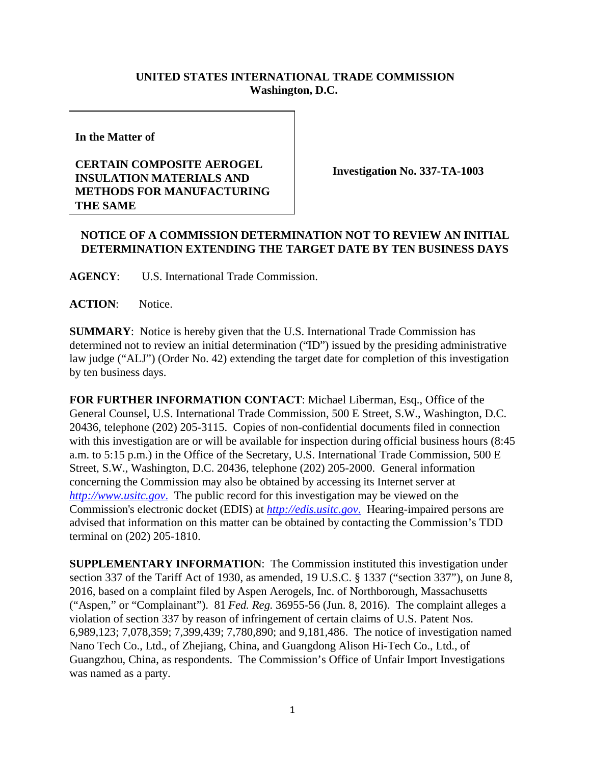## **UNITED STATES INTERNATIONAL TRADE COMMISSION Washington, D.C.**

**In the Matter of**

## **CERTAIN COMPOSITE AEROGEL INSULATION MATERIALS AND METHODS FOR MANUFACTURING THE SAME**

**Investigation No. 337-TA-1003**

## **NOTICE OF A COMMISSION DETERMINATION NOT TO REVIEW AN INITIAL DETERMINATION EXTENDING THE TARGET DATE BY TEN BUSINESS DAYS**

**AGENCY**: U.S. International Trade Commission.

**ACTION**: Notice.

**SUMMARY**: Notice is hereby given that the U.S. International Trade Commission has determined not to review an initial determination ("ID") issued by the presiding administrative law judge ("ALJ") (Order No. 42) extending the target date for completion of this investigation by ten business days.

**FOR FURTHER INFORMATION CONTACT**: Michael Liberman, Esq., Office of the General Counsel, U.S. International Trade Commission, 500 E Street, S.W., Washington, D.C. 20436, telephone (202) 205-3115. Copies of non-confidential documents filed in connection with this investigation are or will be available for inspection during official business hours (8:45 a.m. to 5:15 p.m.) in the Office of the Secretary, U.S. International Trade Commission, 500 E Street, S.W., Washington, D.C. 20436, telephone (202) 205-2000. General information concerning the Commission may also be obtained by accessing its Internet server at *http://www.usitc.gov*. The public record for this investigation may be viewed on the Commission's electronic docket (EDIS) at *http://edis.usitc.gov*. Hearing-impaired persons are advised that information on this matter can be obtained by contacting the Commission's TDD terminal on (202) 205-1810.

**SUPPLEMENTARY INFORMATION**: The Commission instituted this investigation under section 337 of the Tariff Act of 1930, as amended, 19 U.S.C. § 1337 ("section 337"), on June 8, 2016, based on a complaint filed by Aspen Aerogels, Inc. of Northborough, Massachusetts ("Aspen," or "Complainant"). 81 *Fed. Reg.* 36955-56 (Jun. 8, 2016). The complaint alleges a violation of section 337 by reason of infringement of certain claims of U.S. Patent Nos. 6,989,123; 7,078,359; 7,399,439; 7,780,890; and 9,181,486. The notice of investigation named Nano Tech Co., Ltd., of Zhejiang, China, and Guangdong Alison Hi-Tech Co., Ltd., of Guangzhou, China, as respondents. The Commission's Office of Unfair Import Investigations was named as a party.